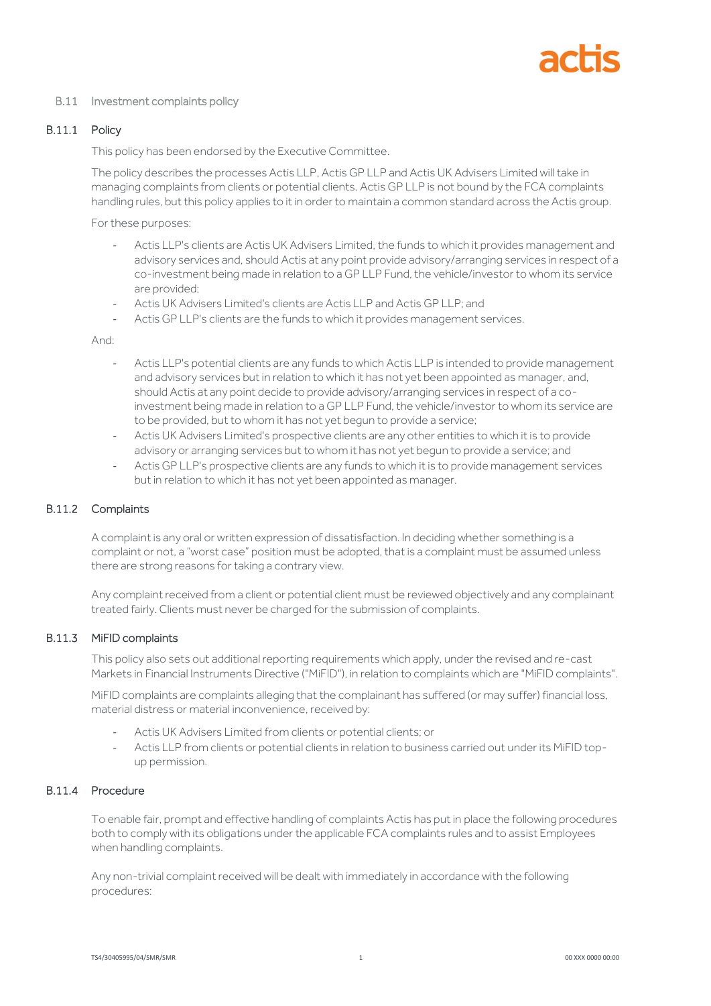#### B.11 Investment complaints policy

## B.11.1 Policy

This policy has been endorsed by the Executive Committee.

The policy describes the processes Actis LLP, Actis GP LLP and Actis UK Advisers Limited will take in managing complaints from clients or potential clients. Actis GP LLP is not bound by the FCA complaints handling rules, but this policy applies to it in order to maintain a common standard across the Actis group.

For these purposes:

- Actis LLP's clients are Actis UK Advisers Limited, the funds to which it provides management and advisory services and, should Actis at any point provide advisory/arranging services in respect of a co-investment being made in relation to a GP LLP Fund, the vehicle/investor to whom its service are provided;
- Actis UK Advisers Limited's clients are Actis LLP and Actis GP LLP; and
- Actis GP LLP's clients are the funds to which it provides management services.

And:

- Actis LLP's potential clients are any funds to which Actis LLP is intended to provide management and advisory services but in relation to which it has not yet been appointed as manager, and, should Actis at any point decide to provide advisory/arranging services in respect of a coinvestment being made in relation to a GP LLP Fund, the vehicle/investor to whom its service are to be provided, but to whom it has not yet begun to provide a service;
- Actis UK Advisers Limited's prospective clients are any other entities to which it is to provide advisory or arranging services but to whom it has not yet begun to provide a service; and
- Actis GP LLP's prospective clients are any funds to which it is to provide management services but in relation to which it has not yet been appointed as manager.

## B.11.2 Complaints

A complaint is any oral or written expression of dissatisfaction. In deciding whether something is a complaint or not, a "worst case" position must be adopted, that is a complaint must be assumed unless there are strong reasons for taking a contrary view.

Any complaint received from a client or potential client must be reviewed objectively and any complainant treated fairly. Clients must never be charged for the submission of complaints.

#### B.11.3 MiFID complaints

This policy also sets out additional reporting requirements which apply, under the revised and re-cast Markets in Financial Instruments Directive ("MiFID"), in relation to complaints which are "MiFID complaints".

MiFID complaints are complaints alleging that the complainant has suffered (or may suffer) financial loss, material distress or material inconvenience, received by:

- Actis UK Advisers Limited from clients or potential clients; or
- Actis LLP from clients or potential clients in relation to business carried out under its MiFID topup permission.

# B.11.4 Procedure

To enable fair, prompt and effective handling of complaints Actis has put in place the following procedures both to comply with its obligations under the applicable FCA complaints rules and to assist Employees when handling complaints.

Any non-trivial complaint received will be dealt with immediately in accordance with the following procedures: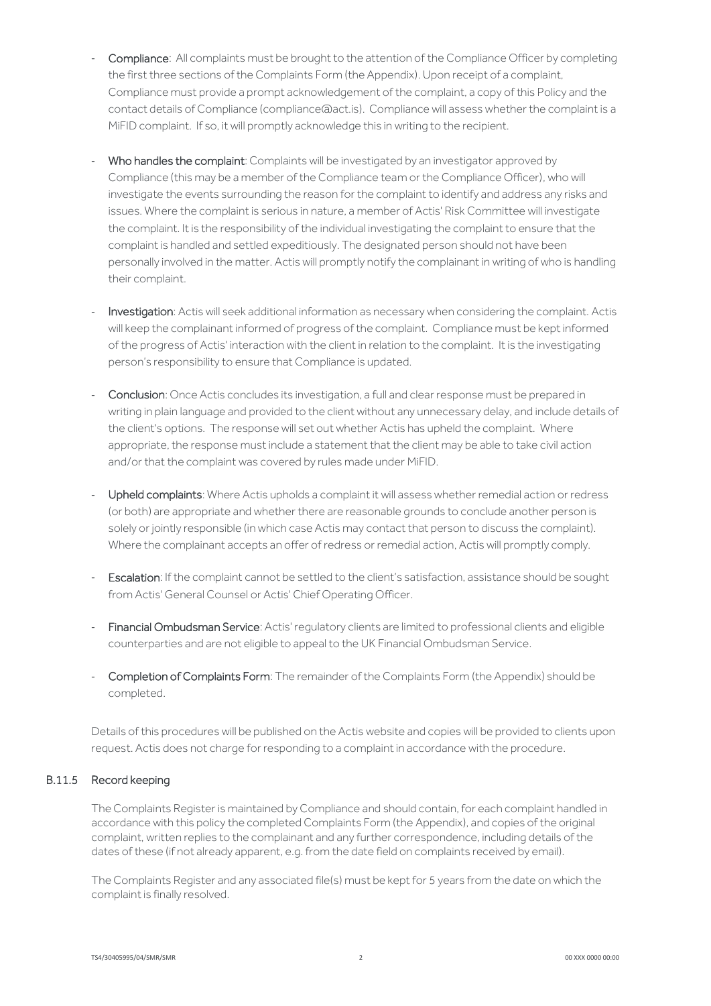- Compliance: All complaints must be brought to the attention of the Compliance Officer by completing the first three sections of the Complaints Form (the Appendix). Upon receipt of a complaint, Compliance must provide a prompt acknowledgement of the complaint, a copy of this Policy and the contact details of Compliance (compliance@act.is). Compliance will assess whether the complaint is a MiFID complaint. If so, it will promptly acknowledge this in writing to the recipient.
- Who handles the complaint: Complaints will be investigated by an investigator approved by Compliance (this may be a member of the Compliance team or the Compliance Officer), who will investigate the events surrounding the reason for the complaint to identify and address any risks and issues. Where the complaint is serious in nature, a member of Actis' Risk Committee will investigate the complaint. It is the responsibility of the individual investigating the complaint to ensure that the complaint is handled and settled expeditiously. The designated person should not have been personally involved in the matter. Actis will promptly notify the complainant in writing of who is handling their complaint.
- Investigation: Actis will seek additional information as necessary when considering the complaint. Actis will keep the complainant informed of progress of the complaint. Compliance must be kept informed of the progress of Actis' interaction with the client in relation to the complaint. It is the investigating person's responsibility to ensure that Compliance is updated.
- Conclusion: Once Actis concludes its investigation, a full and clear response must be prepared in writing in plain language and provided to the client without any unnecessary delay, and include details of the client's options. The response will set out whether Actis has upheld the complaint. Where appropriate, the response must include a statement that the client may be able to take civil action and/or that the complaint was covered by rules made under MiFID.
- Upheld complaints: Where Actis upholds a complaint it will assess whether remedial action or redress (or both) are appropriate and whether there are reasonable grounds to conclude another person is solely or jointly responsible (in which case Actis may contact that person to discuss the complaint). Where the complainant accepts an offer of redress or remedial action, Actis will promptly comply.
- Escalation: If the complaint cannot be settled to the client's satisfaction, assistance should be sought from Actis' General Counsel or Actis' Chief Operating Officer.
- Financial Ombudsman Service: Actis' regulatory clients are limited to professional clients and eligible counterparties and are not eligible to appeal to the UK Financial Ombudsman Service.
- Completion of Complaints Form: The remainder of the Complaints Form (the Appendix) should be completed.

Details of this procedures will be published on the Actis website and copies will be provided to clients upon request. Actis does not charge for responding to a complaint in accordance with the procedure.

## B.11.5 Record keeping

The Complaints Register is maintained by Compliance and should contain, for each complaint handled in accordance with this policy the completed Complaints Form (the Appendix), and copies of the original complaint, written replies to the complainant and any further correspondence, including details of the dates of these (if not already apparent, e.g. from the date field on complaints received by email).

The Complaints Register and any associated file(s) must be kept for 5 years from the date on which the complaint is finally resolved.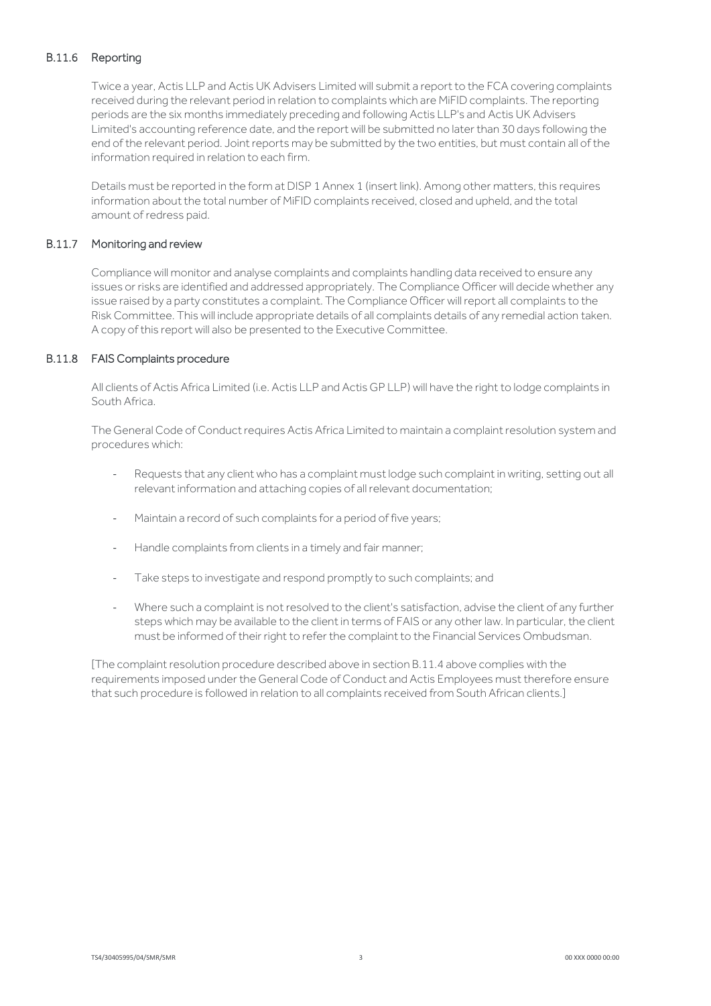# B.11.6 Reporting

Twice a year, Actis LLP and Actis UK Advisers Limited will submit a report to the FCA covering complaints received during the relevant period in relation to complaints which are MiFID complaints. The reporting periods are the six months immediately preceding and following Actis LLP's and Actis UK Advisers Limited's accounting reference date, and the report will be submitted no later than 30 days following the end of the relevant period. Joint reports may be submitted by the two entities, but must contain all of the information required in relation to each firm.

Details must be reported in the form at DISP 1 Annex 1 (insert link). Among other matters, this requires information about the total number of MiFID complaints received, closed and upheld, and the total amount of redress paid.

## B.11.7 Monitoring and review

Compliance will monitor and analyse complaints and complaints handling data received to ensure any issues or risks are identified and addressed appropriately. The Compliance Officer will decide whether any issue raised by a party constitutes a complaint. The Compliance Officer will report all complaints to the Risk Committee. This will include appropriate details of all complaints details of any remedial action taken. A copy of this report will also be presented to the Executive Committee.

#### B.11.8 FAIS Complaints procedure

All clients of Actis Africa Limited (i.e. Actis LLP and Actis GP LLP) will have the right to lodge complaints in South Africa.

The General Code of Conduct requires Actis Africa Limited to maintain a complaint resolution system and procedures which:

- Requests that any client who has a complaint must lodge such complaint in writing, setting out all relevant information and attaching copies of all relevant documentation;
- Maintain a record of such complaints for a period of five years;
- Handle complaints from clients in a timely and fair manner;
- Take steps to investigate and respond promptly to such complaints; and
- Where such a complaint is not resolved to the client's satisfaction, advise the client of any further steps which may be available to the client in terms of FAIS or any other law. In particular, the client must be informed of their right to refer the complaint to the Financial Services Ombudsman.

[The complaint resolution procedure described above in section B.11.4 above complies with the requirements imposed under the General Code of Conduct and Actis Employees must therefore ensure that such procedure is followed in relation to all complaints received from South African clients.]